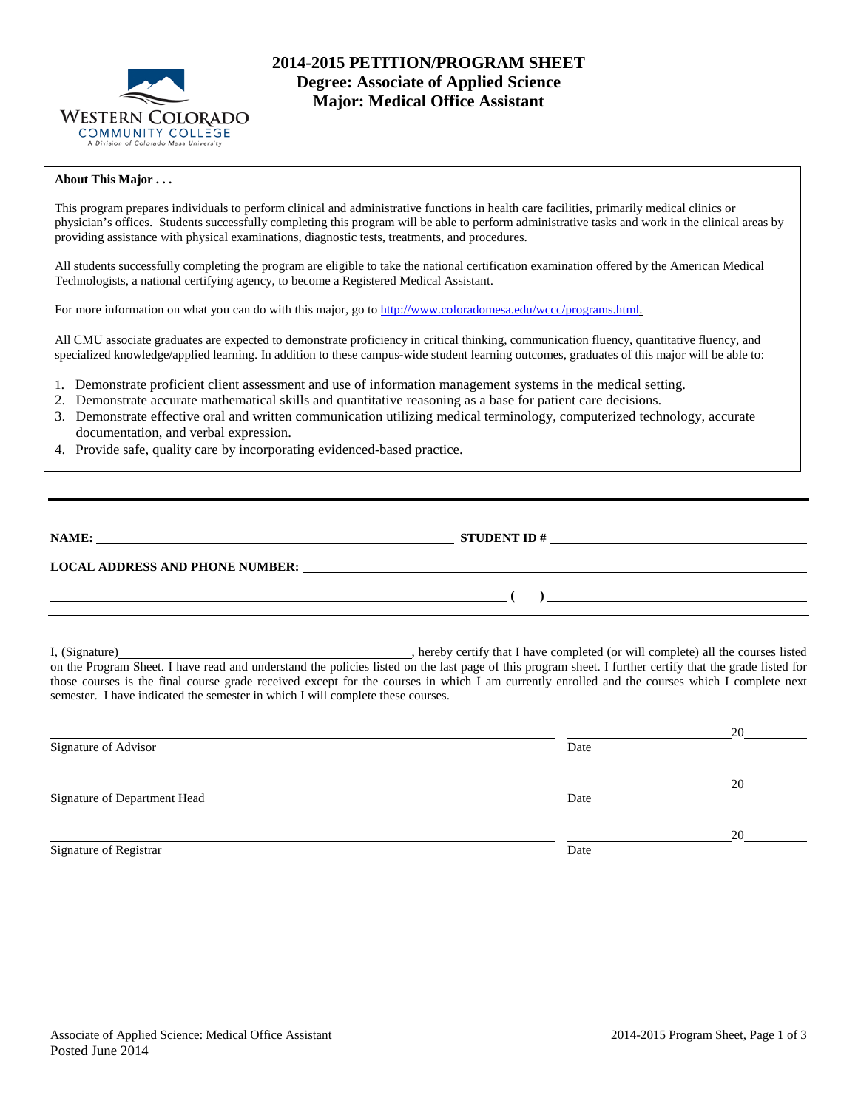

# **2014-2015 PETITION/PROGRAM SHEET Degree: Associate of Applied Science Major: Medical Office Assistant**

### **About This Major . . .**

This program prepares individuals to perform clinical and administrative functions in health care facilities, primarily medical clinics or physician's offices. Students successfully completing this program will be able to perform administrative tasks and work in the clinical areas by providing assistance with physical examinations, diagnostic tests, treatments, and procedures.

All students successfully completing the program are eligible to take the national certification examination offered by the American Medical Technologists, a national certifying agency, to become a Registered Medical Assistant.

For more information on what you can do with this major, go t[o http://www.coloradomesa.edu/wccc/programs.html.](http://www.coloradomesa.edu/wccc/programs.html)

All CMU associate graduates are expected to demonstrate proficiency in critical thinking, communication fluency, quantitative fluency, and specialized knowledge/applied learning. In addition to these campus-wide student learning outcomes, graduates of this major will be able to:

- 1. Demonstrate proficient client assessment and use of information management systems in the medical setting.
- 2. Demonstrate accurate mathematical skills and quantitative reasoning as a base for patient care decisions.
- 3. Demonstrate effective oral and written communication utilizing medical terminology, computerized technology, accurate documentation, and verbal expression.
- 4. Provide safe, quality care by incorporating evidenced-based practice.

| NAME:                                  | <b>STUDENT ID#</b> |  |
|----------------------------------------|--------------------|--|
| <b>LOCAL ADDRESS AND PHONE NUMBER:</b> |                    |  |
|                                        |                    |  |

I, (Signature) , hereby certify that I have completed (or will complete) all the courses listed on the Program Sheet. I have read and understand the policies listed on the last page of this program sheet. I further certify that the grade listed for those courses is the final course grade received except for the courses in which I am currently enrolled and the courses which I complete next semester. I have indicated the semester in which I will complete these courses.

|                              |      | 20 |
|------------------------------|------|----|
| Signature of Advisor         | Date |    |
|                              |      | 20 |
| Signature of Department Head | Date |    |
|                              |      | 20 |
| Signature of Registrar       | Date |    |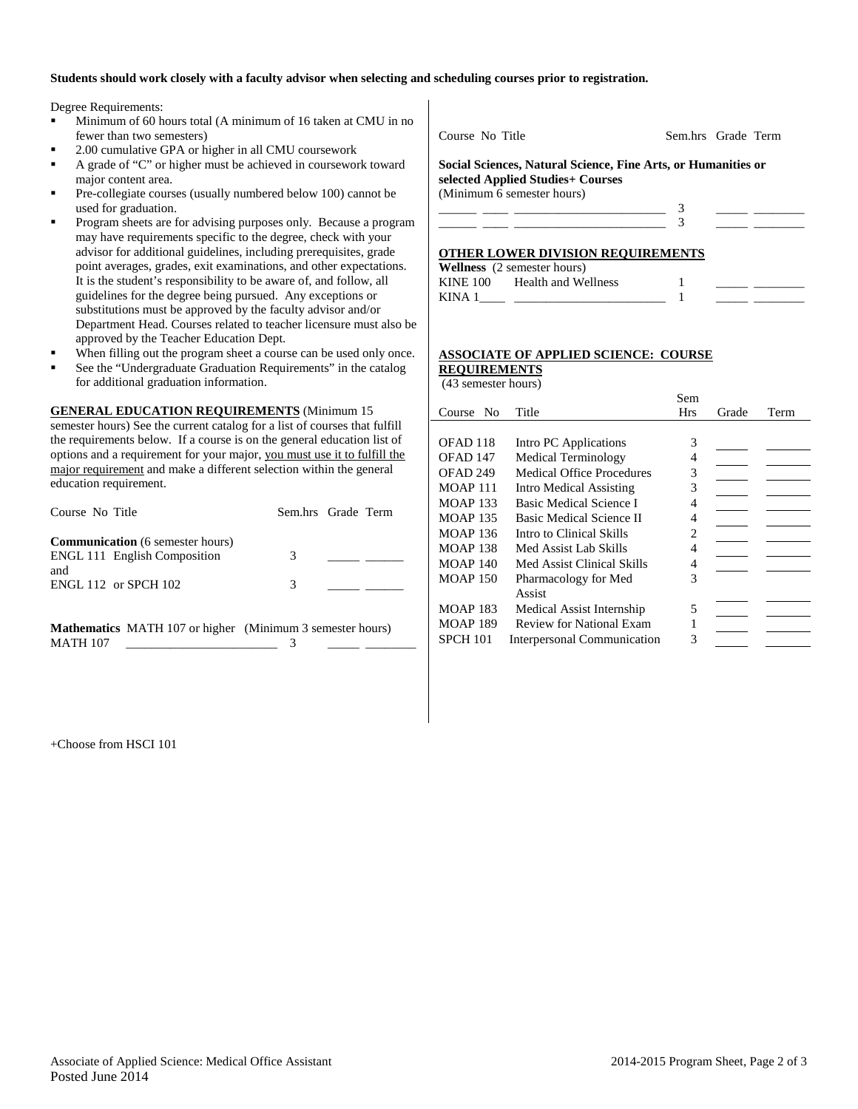### **Students should work closely with a faculty advisor when selecting and scheduling courses prior to registration.**

Degree Requirements:

- Minimum of 60 hours total (A minimum of 16 taken at CMU in no fewer than two semesters)
- 2.00 cumulative GPA or higher in all CMU coursework
- A grade of "C" or higher must be achieved in coursework toward major content area.
- Pre-collegiate courses (usually numbered below 100) cannot be used for graduation.
- Program sheets are for advising purposes only. Because a program may have requirements specific to the degree, check with your advisor for additional guidelines, including prerequisites, grade point averages, grades, exit examinations, and other expectations. It is the student's responsibility to be aware of, and follow, all guidelines for the degree being pursued. Any exceptions or substitutions must be approved by the faculty advisor and/or Department Head. Courses related to teacher licensure must also be approved by the Teacher Education Dept.
- When filling out the program sheet a course can be used only once.
- See the "Undergraduate Graduation Requirements" in the catalog for additional graduation information.

**GENERAL EDUCATION REQUIREMENTS** (Minimum 15

semester hours) See the current catalog for a list of courses that fulfill the requirements below. If a course is on the general education list of options and a requirement for your major, you must use it to fulfill the major requirement and make a different selection within the general education requirement.

| Course No Title                                                                | Sem.hrs Grade Term |  |
|--------------------------------------------------------------------------------|--------------------|--|
| <b>Communication</b> (6 semester hours)<br><b>ENGL 111 English Composition</b> | 3                  |  |
| and<br><b>ENGL 112 or SPCH 102</b>                                             | 3                  |  |

**Mathematics** MATH 107 or higher (Minimum 3 semester hours) MATH 107 \_\_\_\_\_\_\_\_\_\_\_\_\_\_\_\_\_\_\_\_\_\_\_\_ 3 \_\_\_\_\_ \_\_\_\_\_\_\_\_

Course No Title Sem.hrs Grade Term

**Social Sciences, Natural Science, Fine Arts, or Humanities or selected Applied Studies+ Courses**  (Minimum 6 semester hours)

|  | the control of the control of the control of the control of the control of the control of the control of the control of the control of the control of the control of the control of the control of the control of the control |  |  |
|--|-------------------------------------------------------------------------------------------------------------------------------------------------------------------------------------------------------------------------------|--|--|
|  |                                                                                                                                                                                                                               |  |  |

## **OTHER LOWER DIVISION REQUIREMENTS**

|          | <b>Wellness</b> (2 semester hours) |  |  |
|----------|------------------------------------|--|--|
| KINE 100 | Health and Wellness                |  |  |
| KINA 1   |                                    |  |  |

#### **ASSOCIATE OF APPLIED SCIENCE: COURSE REQUIREMENTS**

(43 semester hours)

|                 |                                  | Sem            |       |      |
|-----------------|----------------------------------|----------------|-------|------|
| Course No       | Title                            | Hrs            | Grade | Term |
|                 |                                  |                |       |      |
| OFAD 118        | Intro PC Applications            | 3              |       |      |
| OFAD 147        | Medical Terminology              | 4              |       |      |
| OFAD 249        | <b>Medical Office Procedures</b> | 3              |       |      |
| <b>MOAP 111</b> | <b>Intro Medical Assisting</b>   | 3              |       |      |
| <b>MOAP 133</b> | Basic Medical Science I          | 4              |       |      |
| <b>MOAP 135</b> | <b>Basic Medical Science II</b>  | 4              |       |      |
| <b>MOAP 136</b> | Intro to Clinical Skills         | $\mathfrak{D}$ |       |      |
| <b>MOAP 138</b> | Med Assist Lab Skills            | 4              |       |      |
| <b>MOAP 140</b> | Med Assist Clinical Skills       | 4              |       |      |
| <b>MOAP 150</b> | Pharmacology for Med             | 3              |       |      |
|                 | Assist                           |                |       |      |
| <b>MOAP 183</b> | Medical Assist Internship        | 5              |       |      |
| <b>MOAP 189</b> | <b>Review for National Exam</b>  |                |       |      |
| <b>SPCH 101</b> | Interpersonal Communication      | 3              |       |      |

+Choose from HSCI 101